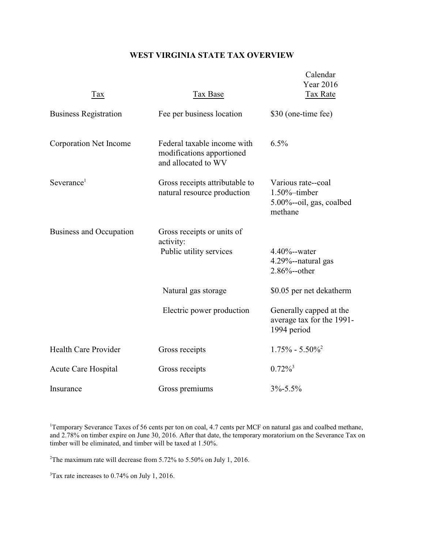## **WEST VIRGINIA STATE TAX OVERVIEW**

| Tax                          | Tax Base                                                                        | Calendar<br>Year 2016<br>Tax Rate                                                 |
|------------------------------|---------------------------------------------------------------------------------|-----------------------------------------------------------------------------------|
| <b>Business Registration</b> | Fee per business location                                                       | \$30 (one-time fee)                                                               |
| Corporation Net Income       | Federal taxable income with<br>modifications apportioned<br>and allocated to WV | 6.5%                                                                              |
| Severance <sup>1</sup>       | Gross receipts attributable to<br>natural resource production                   | Various rate--coal<br>$1.50\%$ -timber<br>$5.00\%$ --oil, gas, coalbed<br>methane |
| Business and Occupation      | Gross receipts or units of<br>activity:<br>Public utility services              | $4.40% - water$<br>4.29%--natural gas<br>$2.86%$ --other                          |
|                              | Natural gas storage                                                             | \$0.05 per net dekatherm                                                          |
|                              | Electric power production                                                       | Generally capped at the<br>average tax for the 1991-<br>1994 period               |
| <b>Health Care Provider</b>  | Gross receipts                                                                  | $1.75\% - 5.50\%$                                                                 |
| Acute Care Hospital          | Gross receipts                                                                  | $0.72\%$ <sup>3</sup>                                                             |
| Insurance                    | Gross premiums                                                                  | $3\% - 5.5\%$                                                                     |

<sup>1</sup>Temporary Severance Taxes of 56 cents per ton on coal, 4.7 cents per MCF on natural gas and coalbed methane, and 2.78% on timber expire on June 30, 2016. After that date, the temporary moratorium on the Severance Tax on timber will be eliminated, and timber will be taxed at 1.50%.

<sup>2</sup>The maximum rate will decrease from 5.72% to 5.50% on July 1, 2016.

3Tax rate increases to 0.74% on July 1, 2016.